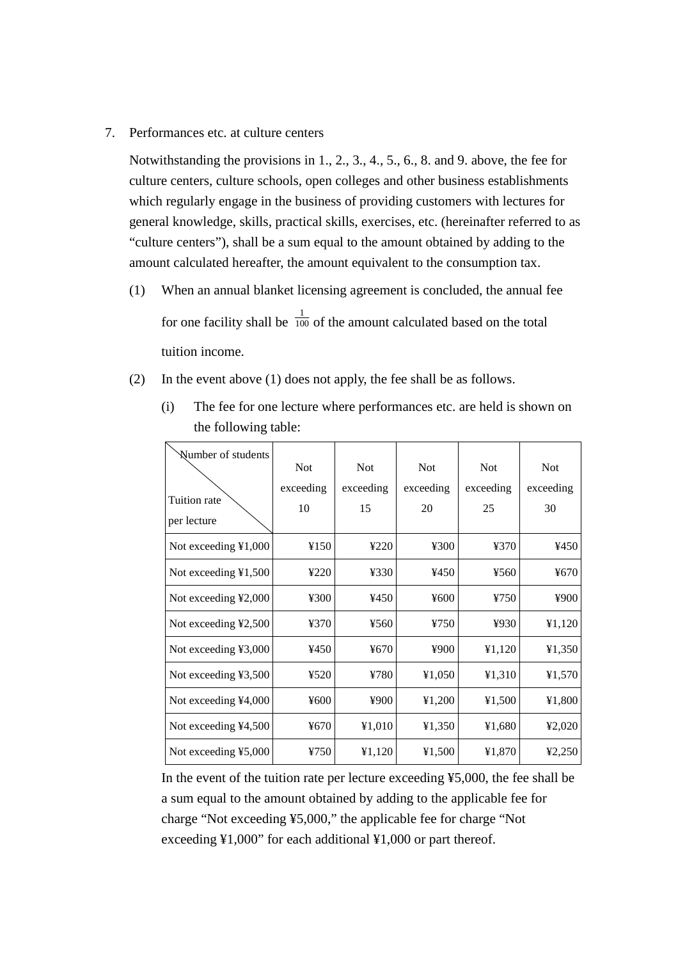7. Performances etc. at culture centers

Notwithstanding the provisions in 1., 2., 3., 4., 5., 6., 8. and 9. above, the fee for culture centers, culture schools, open colleges and other business establishments which regularly engage in the business of providing customers with lectures for general knowledge, skills, practical skills, exercises, etc. (hereinafter referred to as "culture centers"), shall be a sum equal to the amount obtained by adding to the amount calculated hereafter, the amount equivalent to the consumption tax.

- (1) When an annual blanket licensing agreement is concluded, the annual fee for one facility shall be  $\frac{1}{100}$  of the amount calculated based on the total tuition income.
- (2) In the event above (1) does not apply, the fee shall be as follows.

| Number of students<br>Tuition rate<br>per lecture | <b>Not</b><br>exceeding<br>10 | <b>Not</b><br>exceeding<br>15 | <b>Not</b><br>exceeding<br>20 | <b>Not</b><br>exceeding<br>25 | <b>Not</b><br>exceeding<br>30 |
|---------------------------------------------------|-------------------------------|-------------------------------|-------------------------------|-------------------------------|-------------------------------|
| Not exceeding ¥1,000                              | ¥150                          | 4220                          | ¥300                          | ¥370                          | ¥450                          |
| Not exceeding $\text{\&}1,500$                    | ¥220                          | ¥330                          | ¥450                          | ¥560                          | ¥670                          |
| Not exceeding ¥2,000                              | ¥300                          | ¥450                          | ¥600                          | 4750                          | ¥900                          |
| Not exceeding $\text{\textless}2,500$             | ¥370                          | ¥560                          | ¥750                          | ¥930                          | 41,120                        |
| Not exceeding ¥3,000                              | ¥450                          | ¥670                          | ¥900                          | 41,120                        | 41,350                        |
| Not exceeding $43,500$                            | ¥520                          | ¥780                          | ¥1,050                        | 41,310                        | 41,570                        |
| Not exceeding ¥4,000                              | ¥600                          | ¥900                          | 41,200                        | ¥1,500                        | ¥1,800                        |
| Not exceeding $44,500$                            | ¥670                          | ¥1,010                        | 41,350                        | ¥1,680                        | ¥2,020                        |
| Not exceeding ¥5,000                              | ¥750                          | 41,120                        | ¥1,500                        | ¥1,870                        | 42,250                        |

(i) The fee for one lecture where performances etc. are held is shown on the following table:

In the event of the tuition rate per lecture exceeding ¥5,000, the fee shall be a sum equal to the amount obtained by adding to the applicable fee for charge "Not exceeding ¥5,000," the applicable fee for charge "Not exceeding ¥1,000" for each additional ¥1,000 or part thereof.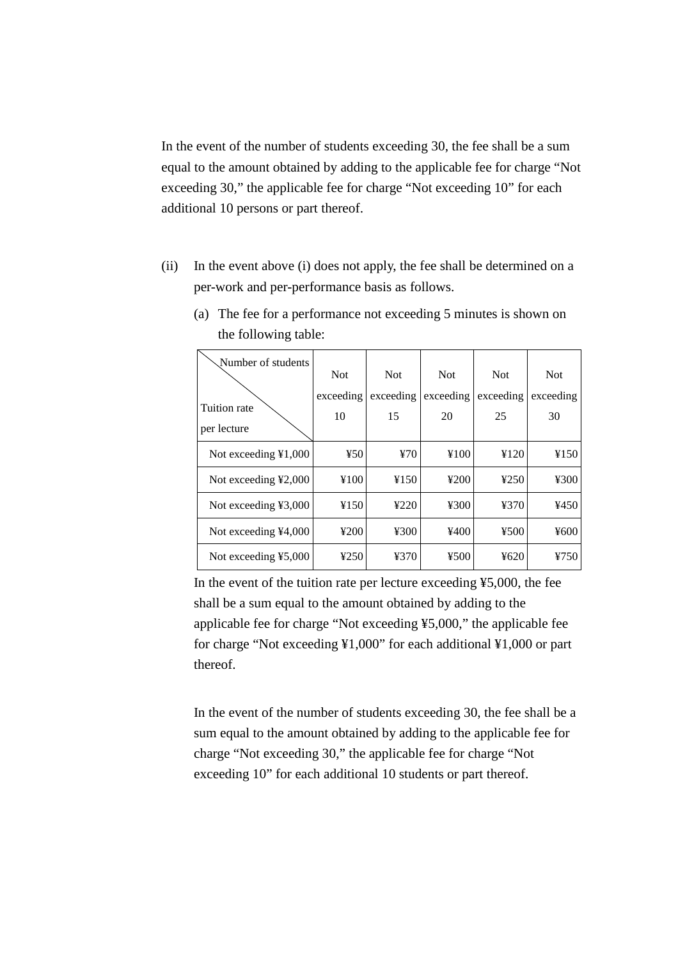In the event of the number of students exceeding 30, the fee shall be a sum equal to the amount obtained by adding to the applicable fee for charge "Not exceeding 30," the applicable fee for charge "Not exceeding 10" for each additional 10 persons or part thereof.

(ii) In the event above (i) does not apply, the fee shall be determined on a per-work and per-performance basis as follows.

| Number of students<br>Tuition rate<br>per lecture | <b>Not</b><br>exceeding<br>10 | <b>Not</b><br>exceeding<br>15 | <b>Not</b><br>exceeding<br>20 | <b>Not</b><br>exceeding<br>25 | <b>Not</b><br>exceeding<br>30 |
|---------------------------------------------------|-------------------------------|-------------------------------|-------------------------------|-------------------------------|-------------------------------|
| Not exceeding $\text{\&}1,000$                    | ¥50                           | 470                           | ¥100                          | 4120                          | ¥150                          |
| Not exceeding $\text{\textless}2,000$             | ¥100                          | ¥150                          | 4200                          | 4250                          | ¥300                          |
| Not exceeding $43,000$                            | ¥150                          | 4220                          | ¥300                          | 4370                          | ¥450                          |
| Not exceeding $¥4,000$                            | 4200                          | 4300                          | 4400                          | 4500                          | ¥600                          |
| Not exceeding $45,000$                            | 4250                          | ¥370                          | 4500                          | 4620                          | 4750                          |

(a) The fee for a performance not exceeding 5 minutes is shown on the following table:

In the event of the tuition rate per lecture exceeding ¥5,000, the fee shall be a sum equal to the amount obtained by adding to the applicable fee for charge "Not exceeding ¥5,000," the applicable fee for charge "Not exceeding ¥1,000" for each additional ¥1,000 or part thereof.

In the event of the number of students exceeding 30, the fee shall be a sum equal to the amount obtained by adding to the applicable fee for charge "Not exceeding 30," the applicable fee for charge "Not exceeding 10" for each additional 10 students or part thereof.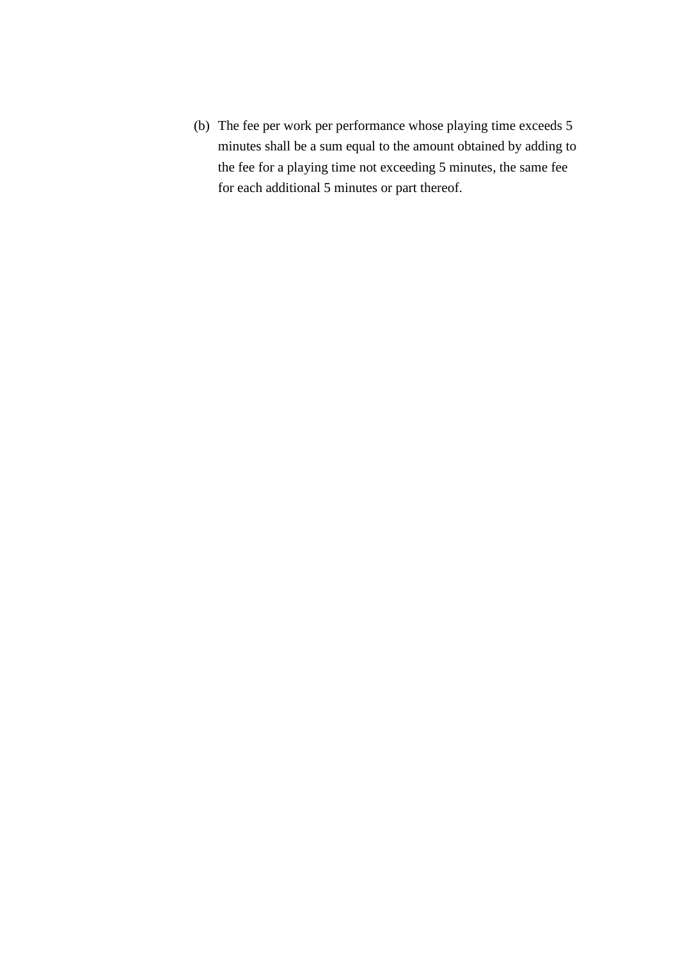(b) The fee per work per performance whose playing time exceeds 5 minutes shall be a sum equal to the amount obtained by adding to the fee for a playing time not exceeding 5 minutes, the same fee for each additional 5 minutes or part thereof.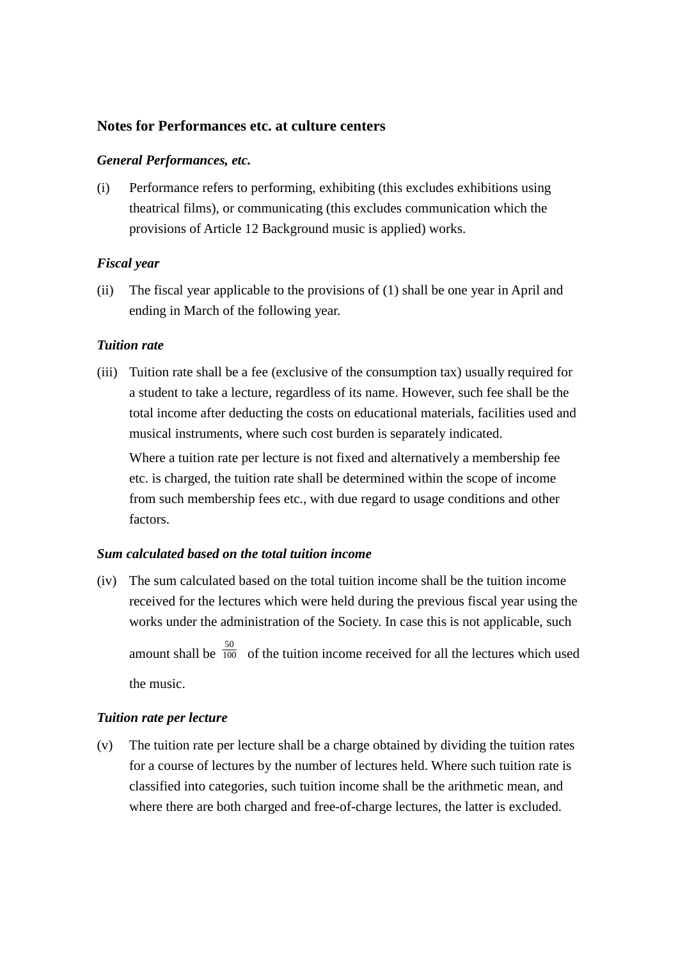# **Notes for Performances etc. at culture centers**

### *General Performances, etc.*

(i) Performance refers to performing, exhibiting (this excludes exhibitions using theatrical films), or communicating (this excludes communication which the provisions of Article 12 Background music is applied) works.

# *Fiscal year*

(ii) The fiscal year applicable to the provisions of (1) shall be one year in April and ending in March of the following year.

# *Tuition rate*

(iii) Tuition rate shall be a fee (exclusive of the consumption tax) usually required for a student to take a lecture, regardless of its name. However, such fee shall be the total income after deducting the costs on educational materials, facilities used and musical instruments, where such cost burden is separately indicated.

Where a tuition rate per lecture is not fixed and alternatively a membership fee etc. is charged, the tuition rate shall be determined within the scope of income from such membership fees etc., with due regard to usage conditions and other factors.

#### *Sum calculated based on the total tuition income*

(iv) The sum calculated based on the total tuition income shall be the tuition income received for the lectures which were held during the previous fiscal year using the works under the administration of the Society. In case this is not applicable, such amount shall be  $\frac{50}{100}$  of the tuition income received for all the lectures which used the music.

# *Tuition rate per lecture*

(v) The tuition rate per lecture shall be a charge obtained by dividing the tuition rates for a course of lectures by the number of lectures held. Where such tuition rate is classified into categories, such tuition income shall be the arithmetic mean, and where there are both charged and free-of-charge lectures, the latter is excluded.